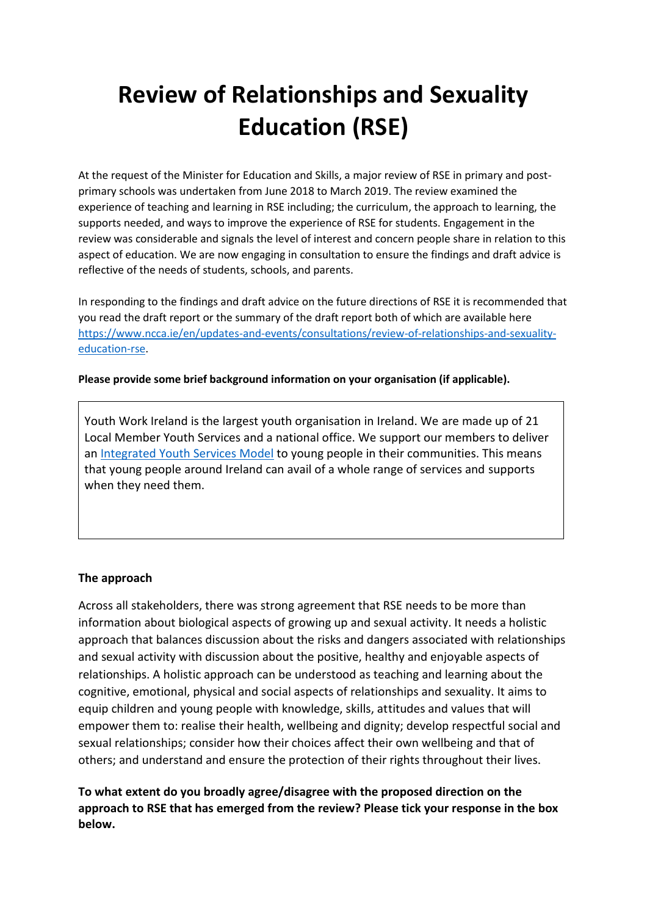# **Review of Relationships and Sexuality Education (RSE)**

At the request of the Minister for Education and Skills, a major review of RSE in primary and postprimary schools was undertaken from June 2018 to March 2019. The review examined the experience of teaching and learning in RSE including; the curriculum, the approach to learning, the supports needed, and ways to improve the experience of RSE for students. Engagement in the review was considerable and signals the level of interest and concern people share in relation to this aspect of education. We are now engaging in consultation to ensure the findings and draft advice is reflective of the needs of students, schools, and parents.

In responding to the findings and draft advice on the future directions of RSE it is recommended that you read the draft report or the summary of the draft report both of which are available here [https://www.ncca.ie/en/updates-and-events/consultations/review-of-relationships-and-sexuality](https://www.ncca.ie/en/updates-and-events/consultations/review-of-relationships-and-sexuality-education-rse)[education-rse.](https://www.ncca.ie/en/updates-and-events/consultations/review-of-relationships-and-sexuality-education-rse)

#### **Please provide some brief background information on your organisation (if applicable).**

Youth Work Ireland is the largest youth organisation in Ireland. We are made up of 21 Local Member Youth Services and a national office. We support our members to deliver an [Integrated Youth Services Model](https://www.youthworkireland.ie/images/uploads/general/integrated_services.pdf) to young people in their communities. This means that young people around Ireland can avail of a whole range of services and supports when they need them.

#### **The approach**

Across all stakeholders, there was strong agreement that RSE needs to be more than information about biological aspects of growing up and sexual activity. It needs a holistic approach that balances discussion about the risks and dangers associated with relationships and sexual activity with discussion about the positive, healthy and enjoyable aspects of relationships. A holistic approach can be understood as teaching and learning about the cognitive, emotional, physical and social aspects of relationships and sexuality. It aims to equip children and young people with knowledge, skills, attitudes and values that will empower them to: realise their health, wellbeing and dignity; develop respectful social and sexual relationships; consider how their choices affect their own wellbeing and that of others; and understand and ensure the protection of their rights throughout their lives.

**To what extent do you broadly agree/disagree with the proposed direction on the approach to RSE that has emerged from the review? Please tick your response in the box below.**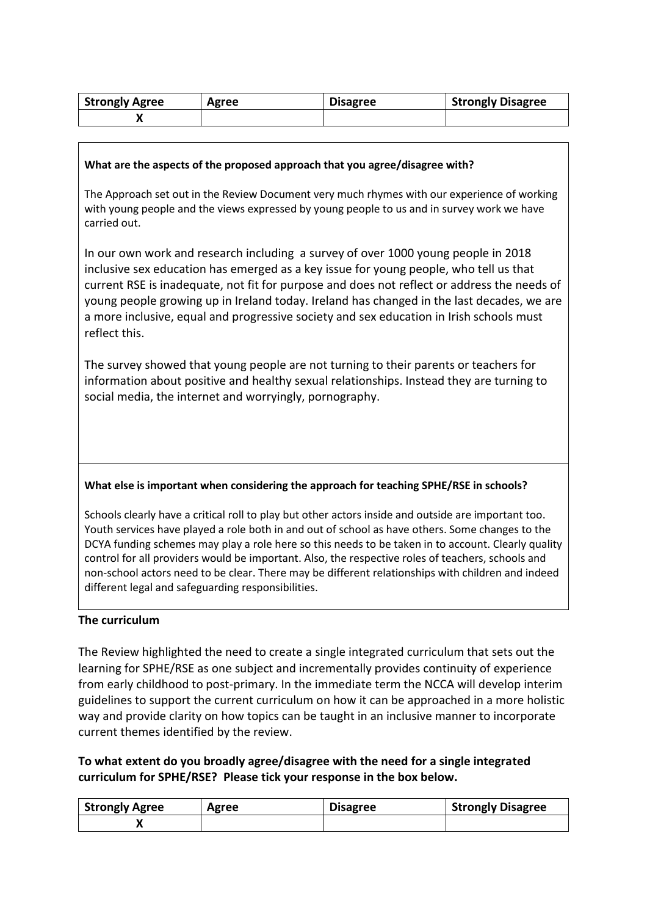| <b>Strongly Agree</b> | Agree | <b>Disagree</b> | <b>Strongly Disagree</b> |
|-----------------------|-------|-----------------|--------------------------|
|                       |       |                 |                          |

#### **What are the aspects of the proposed approach that you agree/disagree with?**

The Approach set out in the Review Document very much rhymes with our experience of working with young people and the views expressed by young people to us and in survey work we have carried out.

In our own work and research including a survey of over 1000 young people in 2018 inclusive sex education has emerged as a key issue for young people, who tell us that current RSE is inadequate, not fit for purpose and does not reflect or address the needs of young people growing up in Ireland today. Ireland has changed in the last decades, we are a more inclusive, equal and progressive society and sex education in Irish schools must reflect this.

The survey showed that young people are not turning to their parents or teachers for information about positive and healthy sexual relationships. Instead they are turning to social media, the internet and worryingly, pornography.

#### **What else is important when considering the approach for teaching SPHE/RSE in schools?**

Schools clearly have a critical roll to play but other actors inside and outside are important too. Youth services have played a role both in and out of school as have others. Some changes to the DCYA funding schemes may play a role here so this needs to be taken in to account. Clearly quality control for all providers would be important. Also, the respective roles of teachers, schools and non-school actors need to be clear. There may be different relationships with children and indeed different legal and safeguarding responsibilities.

#### **The curriculum**

The Review highlighted the need to create a single integrated curriculum that sets out the learning for SPHE/RSE as one subject and incrementally provides continuity of experience from early childhood to post-primary. In the immediate term the NCCA will develop interim guidelines to support the current curriculum on how it can be approached in a more holistic way and provide clarity on how topics can be taught in an inclusive manner to incorporate current themes identified by the review.

## **To what extent do you broadly agree/disagree with the need for a single integrated curriculum for SPHE/RSE? Please tick your response in the box below.**

| <b>Strongly Agree</b> | Agree | <b>Disagree</b> | <b>Strongly Disagree</b> |
|-----------------------|-------|-----------------|--------------------------|
|                       |       |                 |                          |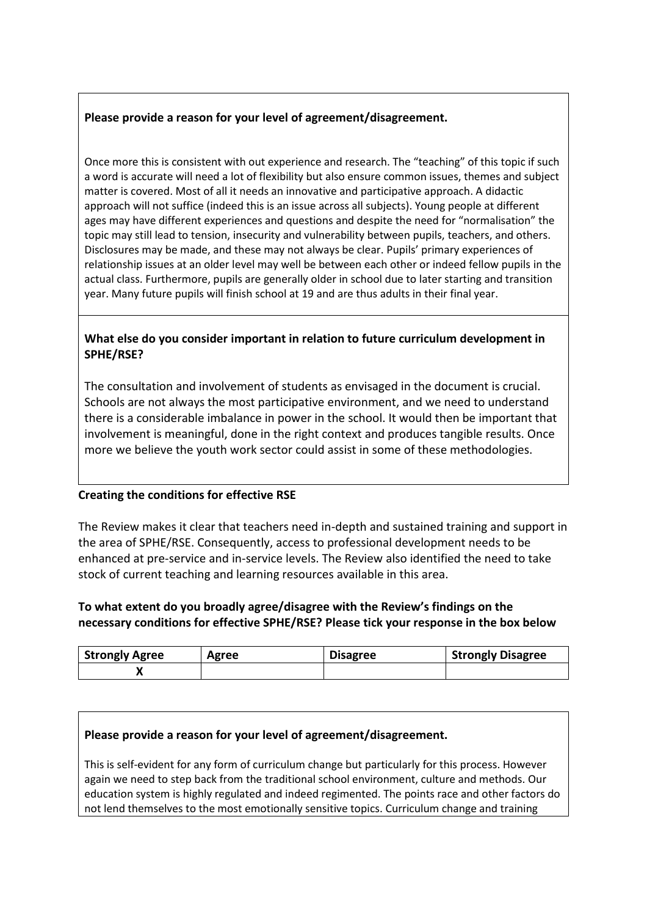## **Please provide a reason for your level of agreement/disagreement.**

Once more this is consistent with out experience and research. The "teaching" of this topic if such a word is accurate will need a lot of flexibility but also ensure common issues, themes and subject matter is covered. Most of all it needs an innovative and participative approach. A didactic approach will not suffice (indeed this is an issue across all subjects). Young people at different ages may have different experiences and questions and despite the need for "normalisation" the topic may still lead to tension, insecurity and vulnerability between pupils, teachers, and others. Disclosures may be made, and these may not always be clear. Pupils' primary experiences of relationship issues at an older level may well be between each other or indeed fellow pupils in the actual class. Furthermore, pupils are generally older in school due to later starting and transition year. Many future pupils will finish school at 19 and are thus adults in their final year.

# **What else do you consider important in relation to future curriculum development in SPHE/RSE?**

The consultation and involvement of students as envisaged in the document is crucial. Schools are not always the most participative environment, and we need to understand there is a considerable imbalance in power in the school. It would then be important that involvement is meaningful, done in the right context and produces tangible results. Once more we believe the youth work sector could assist in some of these methodologies.

## **Creating the conditions for effective RSE**

The Review makes it clear that teachers need in-depth and sustained training and support in the area of SPHE/RSE. Consequently, access to professional development needs to be enhanced at pre-service and in-service levels. The Review also identified the need to take stock of current teaching and learning resources available in this area.

## **To what extent do you broadly agree/disagree with the Review's findings on the necessary conditions for effective SPHE/RSE? Please tick your response in the box below**

| <b>Strongly Agree</b> | Agree | <b>Disagree</b> | <b>Strongly Disagree</b> |
|-----------------------|-------|-----------------|--------------------------|
|                       |       |                 |                          |

## **Please provide a reason for your level of agreement/disagreement.**

This is self-evident for any form of curriculum change but particularly for this process. However again we need to step back from the traditional school environment, culture and methods. Our education system is highly regulated and indeed regimented. The points race and other factors do not lend themselves to the most emotionally sensitive topics. Curriculum change and training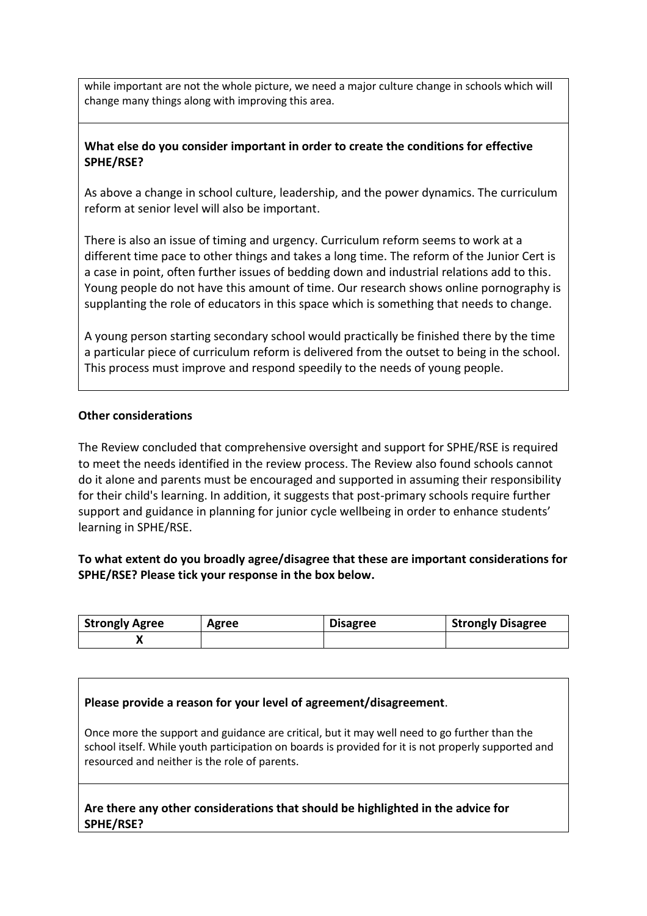while important are not the whole picture, we need a major culture change in schools which will change many things along with improving this area.

## **What else do you consider important in order to create the conditions for effective SPHE/RSE?**

As above a change in school culture, leadership, and the power dynamics. The curriculum reform at senior level will also be important.

There is also an issue of timing and urgency. Curriculum reform seems to work at a different time pace to other things and takes a long time. The reform of the Junior Cert is a case in point, often further issues of bedding down and industrial relations add to this. Young people do not have this amount of time. Our research shows online pornography is supplanting the role of educators in this space which is something that needs to change.

A young person starting secondary school would practically be finished there by the time a particular piece of curriculum reform is delivered from the outset to being in the school. This process must improve and respond speedily to the needs of young people.

#### **Other considerations**

The Review concluded that comprehensive oversight and support for SPHE/RSE is required to meet the needs identified in the review process. The Review also found schools cannot do it alone and parents must be encouraged and supported in assuming their responsibility for their child's learning. In addition, it suggests that post-primary schools require further support and guidance in planning for junior cycle wellbeing in order to enhance students' learning in SPHE/RSE.

## **To what extent do you broadly agree/disagree that these are important considerations for SPHE/RSE? Please tick your response in the box below.**

| <b>Strongly Agree</b> | Agree | <b>Disagree</b> | <b>Strongly Disagree</b> |
|-----------------------|-------|-----------------|--------------------------|
|                       |       |                 |                          |

#### **Please provide a reason for your level of agreement/disagreement**.

Once more the support and guidance are critical, but it may well need to go further than the school itself. While youth participation on boards is provided for it is not properly supported and resourced and neither is the role of parents.

**Are there any other considerations that should be highlighted in the advice for SPHE/RSE?**